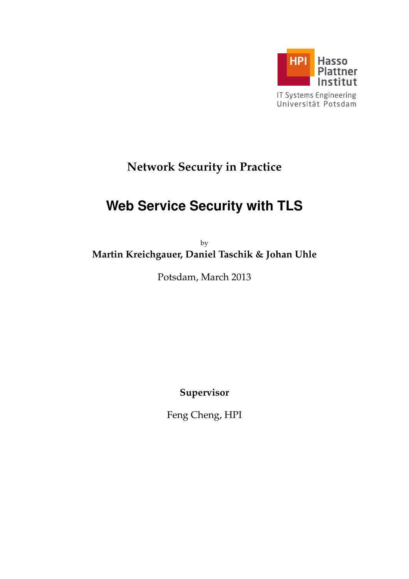

# **Network Security in Practice**

# **Web Service Security with TLS**

by **Martin Kreichgauer, Daniel Taschik & Johan Uhle**

Potsdam, March 2013

**Supervisor**

Feng Cheng, HPI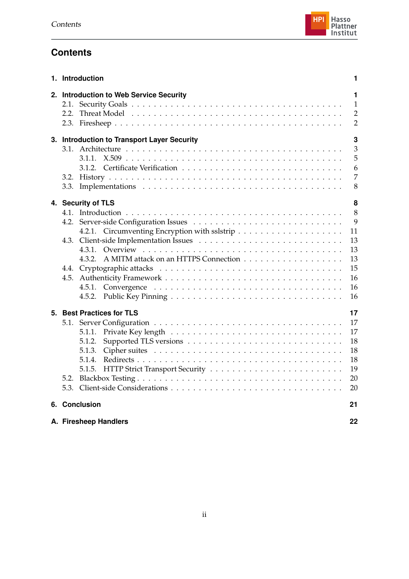

# **Contents**

| 1. Introduction                             | 1                                   |
|---------------------------------------------|-------------------------------------|
| 2. Introduction to Web Service Security     | 1<br>$\mathbf{1}$<br>$\overline{2}$ |
|                                             | $\overline{2}$                      |
| 3. Introduction to Transport Layer Security | 3                                   |
|                                             | 3<br>5                              |
|                                             | 6                                   |
|                                             | 7                                   |
|                                             | 8                                   |
| 4. Security of TLS                          | 8                                   |
|                                             | 8                                   |
|                                             | 9                                   |
|                                             | 11                                  |
| 4.3.                                        | 13                                  |
| 4.3.1.<br>4.3.2.                            | 13<br>13                            |
|                                             | 15                                  |
| 4.5.                                        | 16                                  |
|                                             | 16                                  |
|                                             | 16                                  |
| 5. Best Practices for TLS                   | 17                                  |
|                                             | 17                                  |
|                                             | 17                                  |
|                                             | 18                                  |
|                                             | 18                                  |
|                                             | 18                                  |
|                                             | 19<br>20                            |
|                                             | 20                                  |
| 6. Conclusion                               | 21                                  |
| A. Firesheep Handlers                       | 22                                  |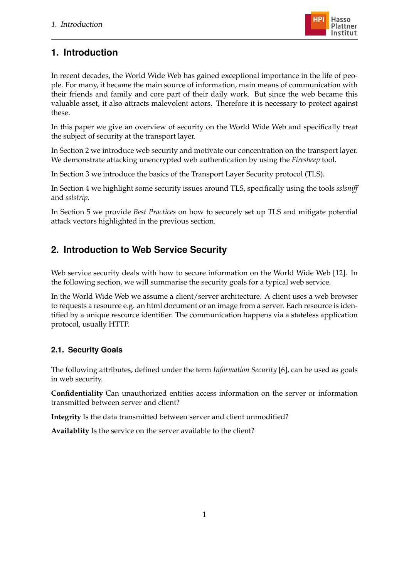

# <span id="page-2-0"></span>**1. Introduction**

In recent decades, the World Wide Web has gained exceptional importance in the life of people. For many, it became the main source of information, main means of communication with their friends and family and core part of their daily work. But since the web became this valuable asset, it also attracts malevolent actors. Therefore it is necessary to protect against these.

In this paper we give an overview of security on the World Wide Web and specifically treat the subject of security at the transport layer.

In Section [2](#page-2-1) we introduce web security and motivate our concentration on the transport layer. We demonstrate attacking unencrypted web authentication by using the *Firesheep* tool.

In Section [3](#page-4-0) we introduce the basics of the Transport Layer Security protocol (TLS).

In Section [4](#page-9-1) we highlight some security issues around TLS, specifically using the tools *sslsniff* and *sslstrip*.

In Section [5](#page-18-0) we provide *Best Practices* on how to securely set up TLS and mitigate potential attack vectors highlighted in the previous section.

# <span id="page-2-1"></span>**2. Introduction to Web Service Security**

Web service security deals with how to secure information on the World Wide Web [\[12\]](#page-24-0). In the following section, we will summarise the security goals for a typical web service.

In the World Wide Web we assume a client/server architecture. A client uses a web browser to requests a resource e.g. an html document or an image from a server. Each resource is identified by a unique resource identifier. The communication happens via a stateless application protocol, usually HTTP.

# <span id="page-2-2"></span>**2.1. Security Goals**

The following attributes, defined under the term *Information Security* [\[6\]](#page-24-1), can be used as goals in web security.

**Confidentiality** Can unauthorized entities access information on the server or information transmitted between server and client?

**Integrity** Is the data transmitted between server and client unmodified?

**Availablity** Is the service on the server available to the client?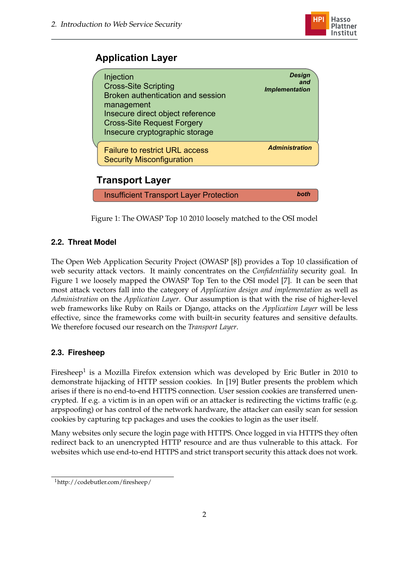

# **Application Layer**

| Injection<br><b>Cross-Site Scripting</b><br>Broken authentication and session<br>management<br>Insecure direct object reference<br><b>Cross-Site Request Forgery</b><br>Insecure cryptographic storage | <b>Design</b><br>and<br><b>Implementation</b> |  |  |  |  |
|--------------------------------------------------------------------------------------------------------------------------------------------------------------------------------------------------------|-----------------------------------------------|--|--|--|--|
| <b>Failure to restrict URL access</b><br><b>Security Misconfiguration</b>                                                                                                                              | <b>Administration</b>                         |  |  |  |  |
| <b>Transport Layer</b>                                                                                                                                                                                 |                                               |  |  |  |  |
| <b>Insufficient Transport Layer Protection</b>                                                                                                                                                         | both                                          |  |  |  |  |

<span id="page-3-2"></span>Figure 1: The OWASP Top 10 2010 loosely matched to the OSI model

# <span id="page-3-0"></span>**2.2. Threat Model**

The Open Web Application Security Project (OWASP [\[8\]](#page-24-2)) provides a Top 10 classification of web security attack vectors. It mainly concentrates on the *Confidentiality* security goal. In Figure [1](#page-3-2) we loosely mapped the OWASP Top Ten to the OSI model [\[7\]](#page-24-3). It can be seen that most attack vectors fall into the category of *Application design and implementation* as well as *Administration* on the *Application Layer*. Our assumption is that with the rise of higher-level web frameworks like Ruby on Rails or Django, attacks on the *Application Layer* will be less effective, since the frameworks come with built-in security features and sensitive defaults. We therefore focused our research on the *Transport Layer*.

## <span id="page-3-1"></span>**2.3. Firesheep**

Firesheep $^1$  is a Mozilla Firefox extension which was developed by Eric Butler in 2010 to demonstrate hijacking of HTTP session cookies. In [\[19\]](#page-25-0) Butler presents the problem which arises if there is no end-to-end HTTPS connection. User session cookies are transferred unencrypted. If e.g. a victim is in an open wifi or an attacker is redirecting the victims traffic (e.g. arpspoofing) or has control of the network hardware, the attacker can easily scan for session cookies by capturing tcp packages and uses the cookies to login as the user itself.

Many websites only secure the login page with HTTPS. Once logged in via HTTPS they often redirect back to an unencrypted HTTP resource and are thus vulnerable to this attack. For websites which use end-to-end HTTPS and strict transport security this attack does not work.

<sup>1</sup>http://codebutler.com/firesheep/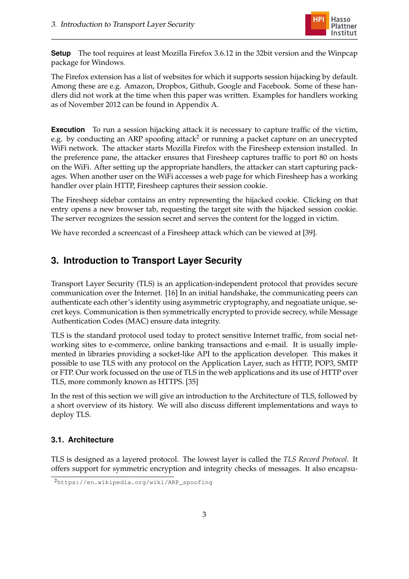

**Setup** The tool requires at least Mozilla Firefox 3.6.12 in the 32bit version and the Winpcap package for Windows.

The Firefox extension has a list of websites for which it supports session hijacking by default. Among these are e.g. Amazon, Dropbox, Github, Google and Facebook. Some of these handlers did not work at the time when this paper was written. Examples for handlers working as of November 2012 can be found in Appendix [A.](#page-23-0)

**Execution** To run a session hijacking attack it is necessary to capture traffic of the victim, e.g. by conducting an ARP spoofing attack<sup>2</sup> or running a packet capture on an unecrypted WiFi network. The attacker starts Mozilla Firefox with the Firesheep extension installed. In the preference pane, the attacker ensures that Firesheep captures traffic to port 80 on hosts on the WiFi. After setting up the appropriate handlers, the attacker can start capturing packages. When another user on the WiFi accesses a web page for which Firesheep has a working handler over plain HTTP, Firesheep captures their session cookie.

The Firesheep sidebar contains an entry representing the hijacked cookie. Clicking on that entry opens a new browser tab, requesting the target site with the hijacked session cookie. The server recognizes the session secret and serves the content for the logged in victim.

We have recorded a screencast of a Firesheep attack which can be viewed at [\[39\]](#page-27-0).

# <span id="page-4-0"></span>**3. Introduction to Transport Layer Security**

Transport Layer Security (TLS) is an application-independent protocol that provides secure communication over the Internet. [\[16\]](#page-25-1) In an initial handshake, the communicating peers can authenticate each other's identity using asymmetric cryptography, and negoatiate unique, secret keys. Communication is then symmetrically encrypted to provide secrecy, while Message Authentication Codes (MAC) ensure data integrity.

TLS is the standard protocol used today to protect sensitive Internet traffic, from social networking sites to e-commerce, online banking transactions and e-mail. It is usually implemented in libraries providing a socket-like API to the application developer. This makes it possible to use TLS with any protocol on the Application Layer, such as HTTP, POP3, SMTP or FTP. Our work focussed on the use of TLS in the web applications and its use of HTTP over TLS, more commonly known as HTTPS. [\[35\]](#page-26-0)

In the rest of this section we will give an introduction to the Architecture of TLS, followed by a short overview of its history. We will also discuss different implementations and ways to deploy TLS.

### <span id="page-4-1"></span>**3.1. Architecture**

TLS is designed as a layered protocol. The lowest layer is called the *TLS Record Protocol*. It offers support for symmetric encryption and integrity checks of messages. It also encapsu-

<sup>2</sup>[https://en.wikipedia.org/wiki/ARP\\_spoofing](https://en.wikipedia.org/wiki/ARP_spoofing)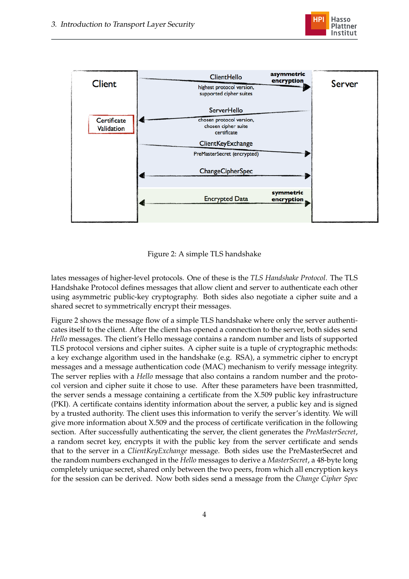



<span id="page-5-0"></span>Figure 2: A simple TLS handshake

lates messages of higher-level protocols. One of these is the *TLS Handshake Protocol*. The TLS Handshake Protocol defines messages that allow client and server to authenticate each other using asymmetric public-key cryptography. Both sides also negotiate a cipher suite and a shared secret to symmetrically encrypt their messages.

Figure [2](#page-5-0) shows the message flow of a simple TLS handshake where only the server authenticates itself to the client. After the client has opened a connection to the server, both sides send *Hello* messages. The client's Hello message contains a random number and lists of supported TLS protocol versions and cipher suites. A cipher suite is a tuple of cryptographic methods: a key exchange algorithm used in the handshake (e.g. RSA), a symmetric cipher to encrypt messages and a message authentication code (MAC) mechanism to verify message integrity. The server replies with a *Hello* message that also contains a random number and the protocol version and cipher suite it chose to use. After these parameters have been trasnmitted, the server sends a message containing a certificate from the X.509 public key infrastructure (PKI). A certificate contains identity information about the server, a public key and is signed by a trusted authority. The client uses this information to verify the server's identity. We will give more information about X.509 and the process of certificate verification in the following section. After successfully authenticating the server, the client generates the *PreMasterSecret*, a random secret key, encrypts it with the public key from the server certificate and sends that to the server in a *ClientKeyExchange* message. Both sides use the PreMasterSecret and the random numbers exchanged in the *Hello* messages to derive a *MasterSecret*, a 48-byte long completely unique secret, shared only between the two peers, from which all encryption keys for the session can be derived. Now both sides send a message from the *Change Cipher Spec*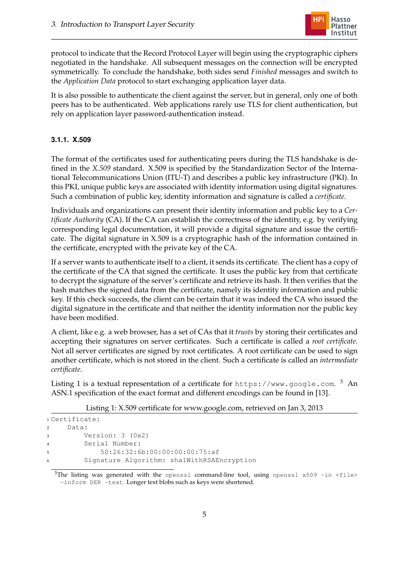

protocol to indicate that the Record Protocol Layer will begin using the cryptographic ciphers negotiated in the handshake. All subsequent messages on the connection will be encrypted symmetrically. To conclude the handshake, both sides send *Finished* messages and switch to the *Application Data* protocol to start exchanging application layer data.

It is also possible to authenticate the client against the server, but in general, only one of both peers has to be authenticated. Web applications rarely use TLS for client authentication, but rely on application layer password-authentication instead.

### <span id="page-6-0"></span>**3.1.1. X.509**

The format of the certificates used for authenticating peers during the TLS handshake is defined in the *X.509* standard. X.509 is specified by the Standardization Sector of the International Telecommunications Union (ITU-T) and describes a public key infrastructure (PKI). In this PKI, unique public keys are associated with identity information using digital signatures. Such a combination of public key, identity information and signature is called a *certificate*.

Individuals and organizations can present their identity information and public key to a *Certificate Authority* (CA). If the CA can establish the correctness of the identity, e.g. by verifying corresponding legal documentation, it will provide a digital signature and issue the certificate. The digital signature in X.509 is a cryptographic hash of the information contained in the certificate, encrypted with the private key of the CA.

If a server wants to authenticate itself to a client, it sends its certificate. The client has a copy of the certificate of the CA that signed the certificate. It uses the public key from that certificate to decrypt the signature of the server's certificate and retrieve its hash. It then verifies that the hash matches the signed data from the certificate, namely its identity information and public key. If this check succeeds, the client can be certain that it was indeed the CA who issued the digital signature in the certificate and that neither the identity information nor the public key have been modified.

A client, like e.g. a web browser, has a set of CAs that it *trusts* by storing their certificates and accepting their signatures on server certificates. Such a certificate is called a *root certificate*. Not all server certificates are signed by root certificates. A root certificate can be used to sign another certificate, which is not stored in the client. Such a certificate is called an *intermediate certificate*.

Listing [1](#page-6-1) is a textual representation of a certificate for <code><https://www.google.com>.  $^3\,$  An</code> ASN.1 specification of the exact format and different encodings can be found in [\[13\]](#page-24-4).

Listing 1: X.509 certificate for www.google.com, retrieved on Jan 3, 2013

```
1 Certificate:
2 Data:
3 Version: 3 (0x2)
4 Serial Number:
5 50:26:32:6b:00:00:00:00:75:af
       6 Signature Algorithm: sha1WithRSAEncryption
```
 $3$ The listing was generated with the openssl command-line tool, using openssl x509 -in <file> -inform DER -text. Longer text blobs such as keys were shortened.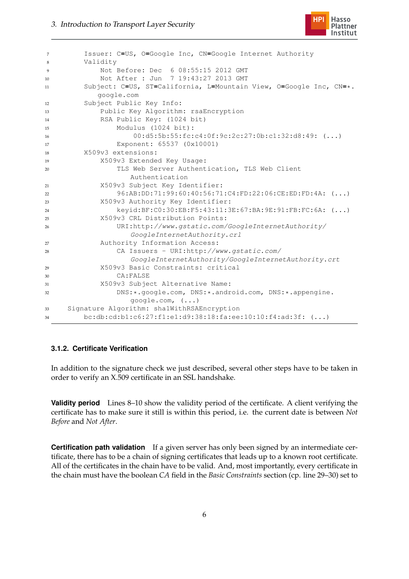

```
7 Issuer: C=US, O=Google Inc, CN=Google Internet Authority
8 Validity
9 Not Before: Dec 6 08:55:15 2012 GMT
10 Not After : Jun 7 19:43:27 2013 GMT
11 Subject: C=US, ST=California, L=Mountain View, O=Google Inc, CN=*.
          google.com
12 Subject Public Key Info:
13 Public Key Algorithm: rsaEncryption
14 RSA Public Key: (1024 bit)
15 Modulus (1024 bit):
16 00:d5:5b:55:fc:c4:0f:9c:2c:27:0b:c1:32:d8:49: (...)
17 Exponent: 65537 (0x10001)
18 X509v3 extensions:
19 X509v3 Extended Key Usage:
20 TLS Web Server Authentication, TLS Web Client
                Authentication
21 X509v3 Subject Key Identifier:
22 96:AB:DD:71:99:60:40:56:71:C4:FD:22:06:CE:ED:FD:4A: (...)
23 X509v3 Authority Key Identifier:
24 keyid:BF:C0:30:EB:F5:43:11:3E:67:BA:9E:91:FB:FC:6A: (...)
25 X509v3 CRL Distribution Points:
26 URI:http://www.gstatic.com/GoogleInternetAuthority/
                 GoogleInternetAuthority.crl
27 Authority Information Access:
28 CA Issuers - URI:http://www.gstatic.com/
                 GoogleInternetAuthority/GoogleInternetAuthority.crt
29 X509v3 Basic Constraints: critical
30 CA:FALSE
31 X509v3 Subject Alternative Name:
32 DNS:*.google.com, DNS:*.android.com, DNS:*.appengine.
                 google.com, (...)
33 Signature Algorithm: sha1WithRSAEncryption
34 bc:db:cd:b1:c6:27:f1:e1:d9:38:18:fa:ee:10:10:f4:ad:3f: (...)
```
#### <span id="page-7-0"></span>**3.1.2. Certificate Verification**

In addition to the signature check we just described, several other steps have to be taken in order to verify an X.509 certificate in an SSL handshake.

**Validity period** Lines 8–10 show the validity period of the certificate. A client verifying the certificate has to make sure it still is within this period, i.e. the current date is between *Not Before* and *Not After*.

**Certification path validation** If a given server has only been signed by an intermediate certificate, there has to be a chain of signing certificates that leads up to a known root certificate. All of the certificates in the chain have to be valid. And, most importantly, every certificate in the chain must have the boolean *CA* field in the *Basic Constraints* section (cp. line 29–30) set to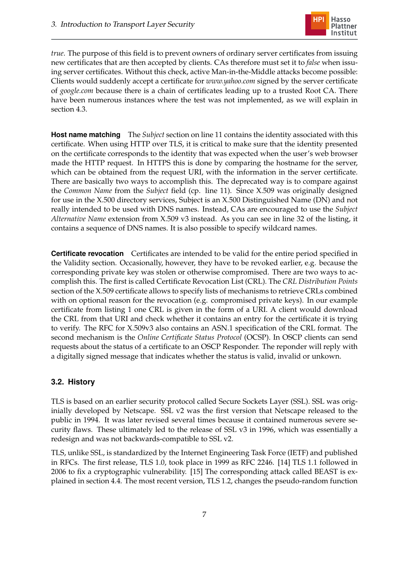

*true*. The purpose of this field is to prevent owners of ordinary server certificates from issuing new certificates that are then accepted by clients. CAs therefore must set it to *false* when issuing server certificates. Without this check, active Man-in-the-Middle attacks become possible: Clients would suddenly accept a certificate for *www.yahoo.com* signed by the server certificate of *google.com* because there is a chain of certificates leading up to a trusted Root CA. There have been numerous instances where the test was not implemented, as we will explain in section [4.3.](#page-14-0)

**Host name matching** The *Subject* section on line 11 contains the identity associated with this certificate. When using HTTP over TLS, it is critical to make sure that the identity presented on the certificate corresponds to the identity that was expected when the user's web browser made the HTTP request. In HTTPS this is done by comparing the hostname for the server, which can be obtained from the request URI, with the information in the server certificate. There are basically two ways to accomplish this. The deprecated way is to compare against the *Common Name* from the *Subject* field (cp. line 11). Since X.509 was originally designed for use in the X.500 directory services, Subject is an X.500 Distinguished Name (DN) and not really intended to be used with DNS names. Instead, CAs are encouraged to use the *Subject Alternative Name* extension from X.509 v3 instead. As you can see in line 32 of the listing, it contains a sequence of DNS names. It is also possible to specify wildcard names.

**Certificate revocation** Certificates are intended to be valid for the entire period specified in the Validity section. Occasionally, however, they have to be revoked earlier, e.g. because the corresponding private key was stolen or otherwise compromised. There are two ways to accomplish this. The first is called Certificate Revocation List (CRL). The *CRL Distribution Points* section of the X.509 certificate allows to specify lists of mechanisms to retrieve CRLs combined with on optional reason for the revocation (e.g. compromised private keys). In our example certificate from listing [1](#page-6-1) one CRL is given in the form of a URI. A client would download the CRL from that URI and check whether it contains an entry for the certificate it is trying to verify. The RFC for X.509v3 also contains an ASN.1 specification of the CRL format. The second mechanism is the *Online Certificate Status Protocol* (OCSP). In OSCP clients can send requests about the status of a certificate to an OSCP Responder. The reponder will reply with a digitally signed message that indicates whether the status is valid, invalid or unkown.

### <span id="page-8-0"></span>**3.2. History**

TLS is based on an earlier security protocol called Secure Sockets Layer (SSL). SSL was originially developed by Netscape. SSL v2 was the first version that Netscape released to the public in 1994. It was later revised several times because it contained numerous severe security flaws. These ultimately led to the release of SSL v3 in 1996, which was essentially a redesign and was not backwards-compatible to SSL v2.

TLS, unlike SSL, is standardized by the Internet Engineering Task Force (IETF) and published in RFCs. The first release, TLS 1.0, took place in 1999 as RFC 2246. [\[14\]](#page-25-2) TLS 1.1 followed in 2006 to fix a cryptographic vulnerability. [\[15\]](#page-25-3) The corresponding attack called BEAST is explained in section [4.4.](#page-16-0) The most recent version, TLS 1.2, changes the pseudo-random function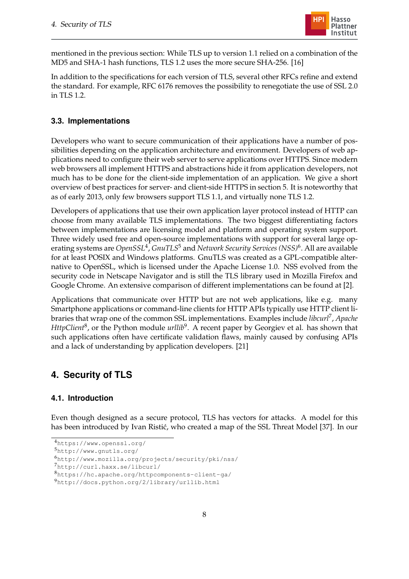

mentioned in the previous section: While TLS up to version 1.1 relied on a combination of the MD5 and SHA-1 hash functions, TLS 1.2 uses the more secure SHA-256. [\[16\]](#page-25-1)

In addition to the specifications for each version of TLS, several other RFCs refine and extend the standard. For example, RFC 6176 removes the possibility to renegotiate the use of SSL 2.0 in TLS 1.2.

#### <span id="page-9-0"></span>**3.3. Implementations**

Developers who want to secure communication of their applications have a number of possibilities depending on the application architecture and environment. Developers of web applications need to configure their web server to serve applications over HTTPS. Since modern web browsers all implement HTTPS and abstractions hide it from application developers, not much has to be done for the client-side implementation of an application. We give a short overview of best practices for server- and client-side HTTPS in section [5.](#page-18-0) It is noteworthy that as of early 2013, only few browsers support TLS 1.1, and virtually none TLS 1.2.

Developers of applications that use their own application layer protocol instead of HTTP can choose from many available TLS implementations. The two biggest differentiating factors between implementations are licensing model and platform and operating system support. Three widely used free and open-source implementations with support for several large operating systems are *OpenSSL*<sup>4</sup> , *GnuTLS*<sup>5</sup> and *Network Security Services (NSS)*<sup>6</sup> . All are available for at least POSIX and Windows platforms. GnuTLS was created as a GPL-compatible alternative to OpenSSL, which is licensed under the Apache License 1.0. NSS evolved from the security code in Netscape Navigator and is still the TLS library used in Mozilla Firefox and Google Chrome. An extensive comparison of different implementations can be found at [\[2\]](#page-24-5).

Applications that communicate over HTTP but are not web applications, like e.g. many Smartphone applications or command-line clients for HTTP APIs typically use HTTP client libraries that wrap one of the common SSL implementations. Examples include *libcurl*<sup>7</sup> , *Apache HttpClient<sup>8</sup>,* or the Python module *urllib<sup>9</sup>*. A recent paper by Georgiev et al. has shown that such applications often have certificate validation flaws, mainly caused by confusing APIs and a lack of understanding by application developers. [\[21\]](#page-25-4)

# <span id="page-9-1"></span>**4. Security of TLS**

#### <span id="page-9-2"></span>**4.1. Introduction**

Even though designed as a secure protocol, TLS has vectors for attacks. A model for this has been introduced by Ivan Ristić, who created a map of the SSL Threat Model [\[37\]](#page-27-1). In our

<sup>7</sup><http://curl.haxx.se/libcurl/>

<sup>4</sup><https://www.openssl.org/>

<sup>5</sup><http://www.gnutls.org/>

<sup>6</sup><http://www.mozilla.org/projects/security/pki/nss/>

<sup>8</sup><https://hc.apache.org/httpcomponents-client-ga/>

<sup>9</sup><http://docs.python.org/2/library/urllib.html>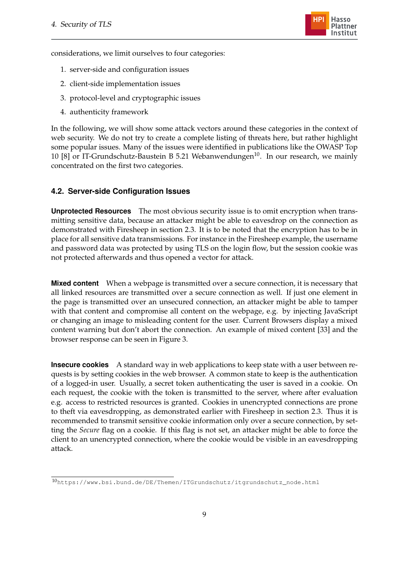

considerations, we limit ourselves to four categories:

- 1. server-side and configuration issues
- 2. client-side implementation issues
- 3. protocol-level and cryptographic issues
- 4. authenticity framework

In the following, we will show some attack vectors around these categories in the context of web security. We do not try to create a complete listing of threats here, but rather highlight some popular issues. Many of the issues were identified in publications like the OWASP Top 10 [\[8\]](#page-24-2) or IT-Grundschutz-Baustein B 5.21 Webanwendungen<sup>10</sup>. In our research, we mainly concentrated on the first two categories.

#### <span id="page-10-0"></span>**4.2. Server-side Configuration Issues**

**Unprotected Resources** The most obvious security issue is to omit encryption when transmitting sensitive data, because an attacker might be able to eavesdrop on the connection as demonstrated with Firesheep in section [2.3.](#page-3-1) It is to be noted that the encryption has to be in place for all sensitive data transmissions. For instance in the Firesheep example, the username and password data was protected by using TLS on the login flow, but the session cookie was not protected afterwards and thus opened a vector for attack.

**Mixed content** When a webpage is transmitted over a secure connection, it is necessary that all linked resources are transmitted over a secure connection as well. If just one element in the page is transmitted over an unsecured connection, an attacker might be able to tamper with that content and compromise all content on the webpage, e.g. by injecting JavaScript or changing an image to misleading content for the user. Current Browsers display a mixed content warning but don't abort the connection. An example of mixed content [\[33\]](#page-26-1) and the browser response can be seen in Figure [3.](#page-11-0)

**Insecure cookies** A standard way in web applications to keep state with a user between requests is by setting cookies in the web browser. A common state to keep is the authentication of a logged-in user. Usually, a secret token authenticating the user is saved in a cookie. On each request, the cookie with the token is transmitted to the server, where after evaluation e.g. access to restricted resources is granted. Cookies in unencrypted connections are prone to theft via eavesdropping, as demonstrated earlier with Firesheep in section [2.3.](#page-3-1) Thus it is recommended to transmit sensitive cookie information only over a secure connection, by setting the *Secure* flag on a cookie. If this flag is not set, an attacker might be able to force the client to an unencrypted connection, where the cookie would be visible in an eavesdropping attack.

<sup>10</sup>[https://www.bsi.bund.de/DE/Themen/ITGrundschutz/itgrundschutz\\_node.html](https://www.bsi.bund.de/DE/Themen/ITGrundschutz/itgrundschutz_node.html)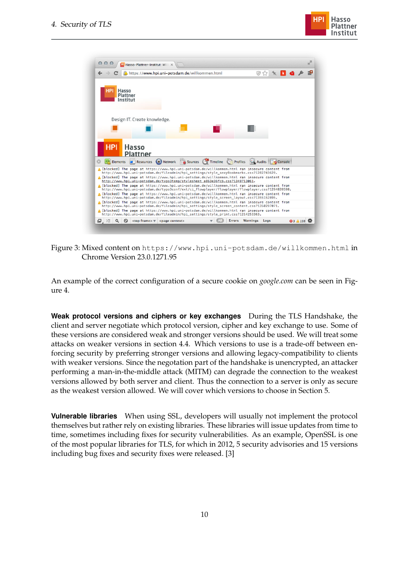



Figure 3: Mixed content on <https://www.hpi.uni-potsdam.de/willkommen.html> in Chrome Version 23.0.1271.95

<span id="page-11-0"></span>An example of the correct configuration of a secure cookie on *google.com* can be seen in Figure [4.](#page-12-1)

**Weak protocol versions and ciphers or key exchanges** During the TLS Handshake, the client and server negotiate which protocol version, cipher and key exchange to use. Some of these versions are considered weak and stronger versions should be used. We will treat some attacks on weaker versions in section [4.4.](#page-16-0) Which versions to use is a trade-off between enforcing security by preferring stronger versions and allowing legacy-compatibility to clients with weaker versions. Since the negotation part of the handshake is unencrypted, an attacker performing a man-in-the-middle attack (MITM) can degrade the connection to the weakest versions allowed by both server and client. Thus the connection to a server is only as secure as the weakest version allowed. We will cover which versions to choose in Section [5.](#page-18-0)

**Vulnerable libraries** When using SSL, developers will usually not implement the protocol themselves but rather rely on existing libraries. These libraries will issue updates from time to time, sometimes including fixes for security vulnerabilities. As an example, OpenSSL is one of the most popular libraries for TLS, for which in 2012, 5 security advisories and 15 versions including bug fixes and security fixes were released. [\[3\]](#page-24-6)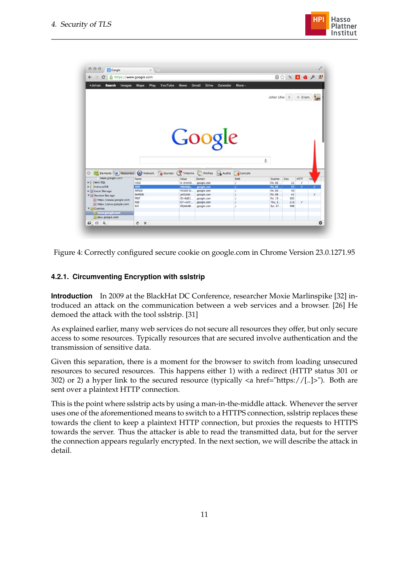

| https://www.google.com<br>$\leftarrow$ $\rightarrow$<br>$\mathbf{C}$                                                                                 |                        |                              |                            |                    |                   | ■☆★■●♪     |                          |    |  |
|------------------------------------------------------------------------------------------------------------------------------------------------------|------------------------|------------------------------|----------------------------|--------------------|-------------------|------------|--------------------------|----|--|
| +Johan<br><b>Search</b><br>Images                                                                                                                    | Play<br><b>Maps</b>    | YouTube<br><b>News</b>       | Gmail<br><b>Drive</b>      | Calendar<br>More - |                   |            |                          |    |  |
|                                                                                                                                                      |                        |                              |                            |                    | Johan Uhle 0      |            | $+$ Share                |    |  |
| Google                                                                                                                                               |                        |                              |                            |                    |                   |            |                          |    |  |
|                                                                                                                                                      |                        |                              |                            |                    |                   |            |                          |    |  |
|                                                                                                                                                      |                        |                              | Profiles & Audits          | Console            | $\mathbb{S}$      |            |                          |    |  |
| Elements & Resources Network <b>B</b> Sources Timeline<br>www.google.com                                                                             | Name                   | Value                        | <b>Domain</b>              | Path               | <b>Expires</b>    | Size       | <b>HTTP</b>              | Se |  |
|                                                                                                                                                      | <b>HSID</b>            | A-ArmHO.                     | .google.com                |                    | Fri, 09           | 21         | $\overline{\mathcal{L}}$ |    |  |
|                                                                                                                                                      | <b>SSID</b>            | A9eUQSu                      | .google.com                |                    | Fri, 09           | 21         |                          | ◢  |  |
|                                                                                                                                                      | <b>APISID</b>          | YkSEEF3s                     | .google.com                |                    | Fri, 09           | 40         |                          |    |  |
|                                                                                                                                                      | <b>SAPISID</b><br>PREF | gH2ahW                       | .google.com                |                    | Fri, 09           | 41         |                          | √  |  |
| https://www.google.com                                                                                                                               | <b>NID</b>             | $ID = 0d21$<br>$67 = v n 7t$ | .google.com<br>.google.com |                    | Fri, 19<br>Thu, 2 | 105<br>216 |                          |    |  |
| https://plus.google.com                                                                                                                              | SID                    | DQAAABI                      | .google.com                |                    | Sat. 17           | 398        |                          |    |  |
|                                                                                                                                                      |                        |                              |                            |                    |                   |            |                          |    |  |
| Ø.<br>DI Web SQL<br>IndexedDB<br><b>Executive</b> Local Storage<br><b>V</b> Session Storage<br><b>V</b> Cookies<br>www.google.com<br>plus.google.com |                        |                              |                            |                    |                   |            |                          |    |  |

<span id="page-12-1"></span>Figure 4: Correctly configured secure cookie on google.com in Chrome Version 23.0.1271.95

### <span id="page-12-0"></span>**4.2.1. Circumventing Encryption with sslstrip**

**Introduction** In 2009 at the BlackHat DC Conference, researcher Moxie Marlinspike [\[32\]](#page-26-2) introduced an attack on the communication between a web services and a browser. [\[26\]](#page-26-3) He demoed the attack with the tool sslstrip. [\[31\]](#page-26-4)

As explained earlier, many web services do not secure all resources they offer, but only secure access to some resources. Typically resources that are secured involve authentication and the transmission of sensitive data.

Given this separation, there is a moment for the browser to switch from loading unsecured resources to secured resources. This happens either 1) with a redirect (HTTP status 301 or 302) or 2) a hyper link to the secured resource (typically  $\langle a \text{ href} = \text{hftps:} / / [..] \rangle$ "). Both are sent over a plaintext HTTP connection.

This is the point where sslstrip acts by using a man-in-the-middle attack. Whenever the server uses one of the aforementioned means to switch to a HTTPS connection, sslstrip replaces these towards the client to keep a plaintext HTTP connection, but proxies the requests to HTTPS towards the server. Thus the attacker is able to read the transmitted data, but for the server the connection appears regularly encrypted. In the next section, we will describe the attack in detail.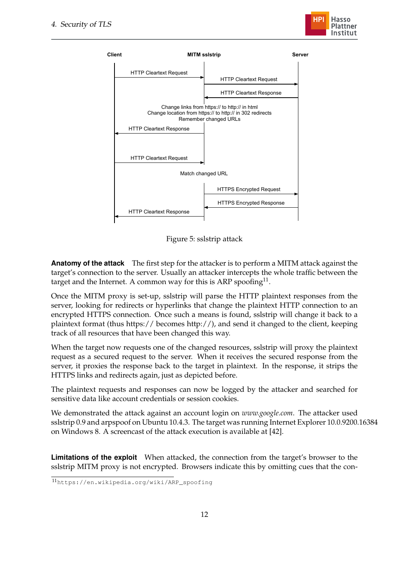



Figure 5: sslstrip attack

<span id="page-13-0"></span>**Anatomy of the attack** The first step for the attacker is to perform a MITM attack against the target's connection to the server. Usually an attacker intercepts the whole traffic between the target and the Internet. A common way for this is ARP spoofing $^{11}$ .

Once the MITM proxy is set-up, sslstrip will parse the HTTP plaintext responses from the server, looking for redirects or hyperlinks that change the plaintext HTTP connection to an encrypted HTTPS connection. Once such a means is found, sslstrip will change it back to a plaintext format (thus https:// becomes http://), and send it changed to the client, keeping track of all resources that have been changed this way.

When the target now requests one of the changed resources, sslstrip will proxy the plaintext request as a secured request to the server. When it receives the secured response from the server, it proxies the response back to the target in plaintext. In the response, it strips the HTTPS links and redirects again, just as depicted before.

The plaintext requests and responses can now be logged by the attacker and searched for sensitive data like account credentials or session cookies.

We demonstrated the attack against an account login on *www.google.com*. The attacker used sslstrip 0.9 and arpspoof on Ubuntu 10.4.3. The target was running Internet Explorer 10.0.9200.16384 on Windows 8. A screencast of the attack execution is available at [\[42\]](#page-27-2).

**Limitations of the exploit** When attacked, the connection from the target's browser to the sslstrip MITM proxy is not encrypted. Browsers indicate this by omitting cues that the con-

<sup>11</sup>[https://en.wikipedia.org/wiki/ARP\\_spoofing](https://en.wikipedia.org/wiki/ARP_spoofing)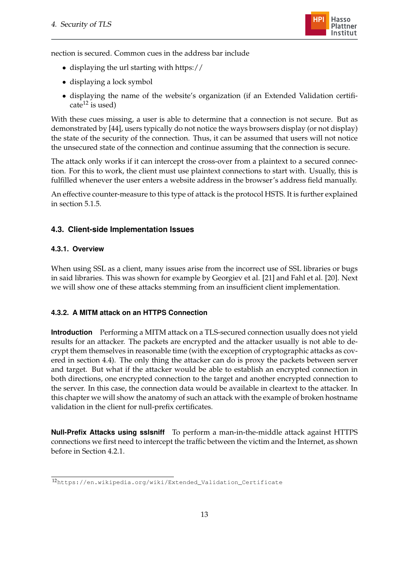

nection is secured. Common cues in the address bar include

- displaying the url starting with https://
- displaying a lock symbol
- displaying the name of the website's organization (if an Extended Validation certificate<sup>12</sup> is used)

With these cues missing, a user is able to determine that a connection is not secure. But as demonstrated by [\[44\]](#page-27-3), users typically do not notice the ways browsers display (or not display) the state of the security of the connection. Thus, it can be assumed that users will not notice the unsecured state of the connection and continue assuming that the connection is secure.

The attack only works if it can intercept the cross-over from a plaintext to a secured connection. For this to work, the client must use plaintext connections to start with. Usually, this is fulfilled whenever the user enters a website address in the browser's address field manually.

An effective counter-measure to this type of attack is the protocol HSTS. It is further explained in section [5.1.5.](#page-20-0)

## <span id="page-14-0"></span>**4.3. Client-side Implementation Issues**

### <span id="page-14-1"></span>**4.3.1. Overview**

When using SSL as a client, many issues arise from the incorrect use of SSL libraries or bugs in said libraries. This was shown for example by Georgiev et al. [\[21\]](#page-25-4) and Fahl et al. [\[20\]](#page-25-5). Next we will show one of these attacks stemming from an insufficient client implementation.

### <span id="page-14-2"></span>**4.3.2. A MITM attack on an HTTPS Connection**

**Introduction** Performing a MITM attack on a TLS-secured connection usually does not yield results for an attacker. The packets are encrypted and the attacker usually is not able to decrypt them themselves in reasonable time (with the exception of cryptographic attacks as covered in section [4.4\)](#page-16-0). The only thing the attacker can do is proxy the packets between server and target. But what if the attacker would be able to establish an encrypted connection in both directions, one encrypted connection to the target and another encrypted connection to the server. In this case, the connection data would be available in cleartext to the attacker. In this chapter we will show the anatomy of such an attack with the example of broken hostname validation in the client for null-prefix certificates.

**Null-Prefix Attacks using sslsniff** To perform a man-in-the-middle attack against HTTPS connections we first need to intercept the traffic between the victim and the Internet, as shown before in Section [4.2.1.](#page-13-0)

<sup>12</sup>[https://en.wikipedia.org/wiki/Extended\\_Validation\\_Certificate](https://en.wikipedia.org/wiki/Extended_Validation_Certificate)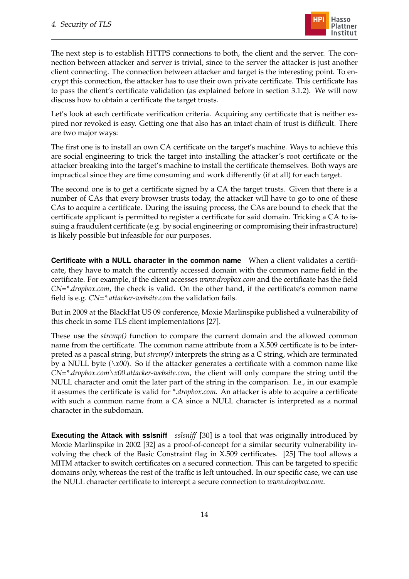

The next step is to establish HTTPS connections to both, the client and the server. The connection between attacker and server is trivial, since to the server the attacker is just another client connecting. The connection between attacker and target is the interesting point. To encrypt this connection, the attacker has to use their own private certificate. This certificate has to pass the client's certificate validation (as explained before in section [3.1.2\)](#page-7-0). We will now discuss how to obtain a certificate the target trusts.

Let's look at each certificate verification criteria. Acquiring any certificate that is neither expired nor revoked is easy. Getting one that also has an intact chain of trust is difficult. There are two major ways:

The first one is to install an own CA certificate on the target's machine. Ways to achieve this are social engineering to trick the target into installing the attacker's root certificate or the attacker breaking into the target's machine to install the certificate themselves. Both ways are impractical since they are time consuming and work differently (if at all) for each target.

The second one is to get a certificate signed by a CA the target trusts. Given that there is a number of CAs that every browser trusts today, the attacker will have to go to one of these CAs to acquire a certificate. During the issuing process, the CAs are bound to check that the certificate applicant is permitted to register a certificate for said domain. Tricking a CA to issuing a fraudulent certificate (e.g. by social engineering or compromising their infrastructure) is likely possible but infeasible for our purposes.

**Certificate with a NULL character in the common name** When a client validates a certificate, they have to match the currently accessed domain with the common name field in the certificate. For example, if the client accesses *www.dropbox.com* and the certificate has the field *CN=\*.dropbox.com*, the check is valid. On the other hand, if the certificate's common name field is e.g. *CN=\*.attacker-website.com* the validation fails.

But in 2009 at the BlackHat US 09 conference, Moxie Marlinspike published a vulnerability of this check in some TLS client implementations [\[27\]](#page-26-5).

These use the *strcmp()* function to compare the current domain and the allowed common name from the certificate. The common name attribute from a X.509 certificate is to be interpreted as a pascal string, but *strcmp()* interprets the string as a C string, which are terminated by a NULL byte  $(\lambda x00)$ . So if the attacker generates a certificate with a common name like *CN=\*.dropbox.com\x00.attacker-website.com*, the client will only compare the string until the NULL character and omit the later part of the string in the comparison. I.e., in our example it assumes the certificate is valid for *\*.dropbox.com*. An attacker is able to acquire a certificate with such a common name from a CA since a NULL character is interpreted as a normal character in the subdomain.

**Executing the Attack with sslsniff** *sslsniff* [\[30\]](#page-26-6) is a tool that was originally introduced by Moxie Marlinspike in 2002 [\[32\]](#page-26-2) as a proof-of-concept for a similar security vulnerability involving the check of the Basic Constraint flag in X.509 certificates. [\[25\]](#page-26-7) The tool allows a MITM attacker to switch certificates on a secured connection. This can be targeted to specific domains only, whereas the rest of the traffic is left untouched. In our specific case, we can use the NULL character certificate to intercept a secure connection to *www.dropbox.com*.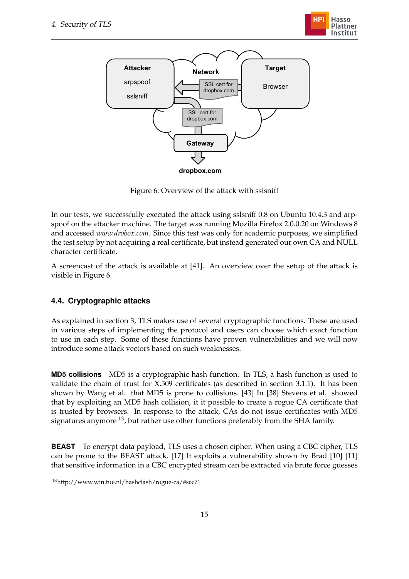



<span id="page-16-1"></span>Figure 6: Overview of the attack with sslsniff

In our tests, we successfully executed the attack using sslsniff 0.8 on Ubuntu 10.4.3 and arpspoof on the attacker machine. The target was running Mozilla Firefox 2.0.0.20 on Windows 8 and accessed *www.drobox.com*. Since this test was only for academic purposes, we simplified the test setup by not acquiring a real certificate, but instead generated our own CA and NULL character certificate.

A screencast of the attack is available at [\[41\]](#page-27-4). An overview over the setup of the attack is visible in Figure [6.](#page-16-1)

## <span id="page-16-0"></span>**4.4. Cryptographic attacks**

As explained in section [3,](#page-4-0) TLS makes use of several cryptographic functions. These are used in various steps of implementing the protocol and users can choose which exact function to use in each step. Some of these functions have proven vulnerabilities and we will now introduce some attack vectors based on such weaknesses.

**MD5 collisions** MD5 is a cryptographic hash function. In TLS, a hash function is used to validate the chain of trust for X.509 certificates (as described in section [3.1.1\)](#page-6-0). It has been shown by Wang et al. that MD5 is prone to collisions. [\[43\]](#page-27-5) In [\[38\]](#page-27-6) Stevens et al. showed that by exploiting an MD5 hash collision, it it possible to create a rogue CA certificate that is trusted by browsers. In response to the attack, CAs do not issue certificates with MD5 signatures anymore <sup>13</sup>, but rather use other functions preferably from the SHA family.

**BEAST** To encrypt data payload, TLS uses a chosen cipher. When using a CBC cipher, TLS can be prone to the BEAST attack. [\[17\]](#page-25-6) It exploits a vulnerability shown by Brad [\[10\]](#page-24-7) [\[11\]](#page-24-8) that sensitive information in a CBC encrypted stream can be extracted via brute force guesses

<sup>13</sup>http://www.win.tue.nl/hashclash/rogue-ca/#sec71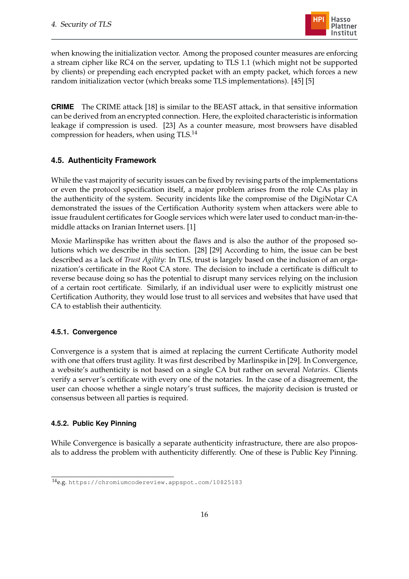

when knowing the initialization vector. Among the proposed counter measures are enforcing a stream cipher like RC4 on the server, updating to TLS 1.1 (which might not be supported by clients) or prepending each encrypted packet with an empty packet, which forces a new random initialization vector (which breaks some TLS implementations). [\[45\]](#page-27-7) [\[5\]](#page-24-9)

**CRIME** The CRIME attack [\[18\]](#page-25-7) is similar to the BEAST attack, in that sensitive information can be derived from an encrypted connection. Here, the exploited characteristic is information leakage if compression is used. [\[23\]](#page-25-8) As a counter measure, most browsers have disabled compression for headers, when using TLS.<sup>14</sup>

### <span id="page-17-0"></span>**4.5. Authenticity Framework**

While the vast majority of security issues can be fixed by revising parts of the implementations or even the protocol specification itself, a major problem arises from the role CAs play in the authenticity of the system. Security incidents like the compromise of the DigiNotar CA demonstrated the issues of the Certification Authority system when attackers were able to issue fraudulent certificates for Google services which were later used to conduct man-in-themiddle attacks on Iranian Internet users. [\[1\]](#page-24-10)

Moxie Marlinspike has written about the flaws and is also the author of the proposed solutions which we describe in this section. [\[28\]](#page-26-8) [\[29\]](#page-26-9) According to him, the issue can be best described as a lack of *Trust Agility*: In TLS, trust is largely based on the inclusion of an organization's certificate in the Root CA store. The decision to include a certificate is difficult to reverse because doing so has the potential to disrupt many services relying on the inclusion of a certain root certificate. Similarly, if an individual user were to explicitly mistrust one Certification Authority, they would lose trust to all services and websites that have used that CA to establish their authenticity.

### <span id="page-17-1"></span>**4.5.1. Convergence**

Convergence is a system that is aimed at replacing the current Certificate Authority model with one that offers trust agility. It was first described by Marlinspike in [\[29\]](#page-26-9). In Convergence, a website's authenticity is not based on a single CA but rather on several *Notaries*. Clients verify a server's certificate with every one of the notaries. In the case of a disagreement, the user can choose whether a single notary's trust suffices, the majority decision is trusted or consensus between all parties is required.

### <span id="page-17-2"></span>**4.5.2. Public Key Pinning**

While Convergence is basically a separate authenticity infrastructure, there are also proposals to address the problem with authenticity differently. One of these is Public Key Pinning.

<sup>14</sup>e.g. <https://chromiumcodereview.appspot.com/10825183>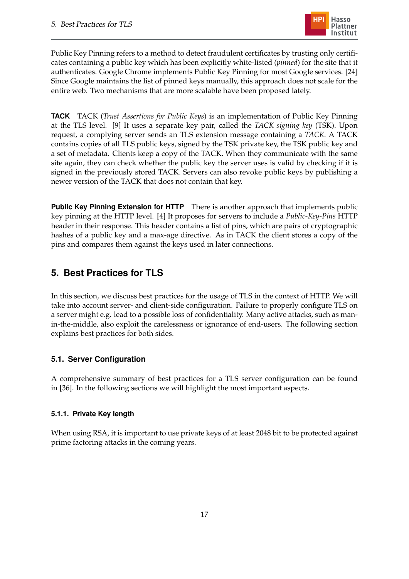

Public Key Pinning refers to a method to detect fraudulent certificates by trusting only certificates containing a public key which has been explicitly white-listed (*pinned*) for the site that it authenticates. Google Chrome implements Public Key Pinning for most Google services. [\[24\]](#page-26-10) Since Google maintains the list of pinned keys manually, this approach does not scale for the entire web. Two mechanisms that are more scalable have been proposed lately.

**TACK** TACK (*Trust Assertions for Public Keys*) is an implementation of Public Key Pinning at the TLS level. [\[9\]](#page-24-11) It uses a separate key pair, called the *TACK signing key* (TSK). Upon request, a complying server sends an TLS extension message containing a *TACK*. A TACK contains copies of all TLS public keys, signed by the TSK private key, the TSK public key and a set of metadata. Clients keep a copy of the TACK. When they communicate with the same site again, they can check whether the public key the server uses is valid by checking if it is signed in the previously stored TACK. Servers can also revoke public keys by publishing a newer version of the TACK that does not contain that key.

**Public Key Pinning Extension for HTTP** There is another approach that implements public key pinning at the HTTP level. [\[4\]](#page-24-12) It proposes for servers to include a *Public-Key-Pins* HTTP header in their response. This header contains a list of pins, which are pairs of cryptographic hashes of a public key and a max-age directive. As in TACK the client stores a copy of the pins and compares them against the keys used in later connections.

# <span id="page-18-0"></span>**5. Best Practices for TLS**

In this section, we discuss best practices for the usage of TLS in the context of HTTP. We will take into account server- and client-side configuration. Failure to properly configure TLS on a server might e.g. lead to a possible loss of confidentiality. Many active attacks, such as manin-the-middle, also exploit the carelessness or ignorance of end-users. The following section explains best practices for both sides.

## <span id="page-18-1"></span>**5.1. Server Configuration**

A comprehensive summary of best practices for a TLS server configuration can be found in [\[36\]](#page-27-8). In the following sections we will highlight the most important aspects.

## <span id="page-18-2"></span>**5.1.1. Private Key length**

When using RSA, it is important to use private keys of at least 2048 bit to be protected against prime factoring attacks in the coming years.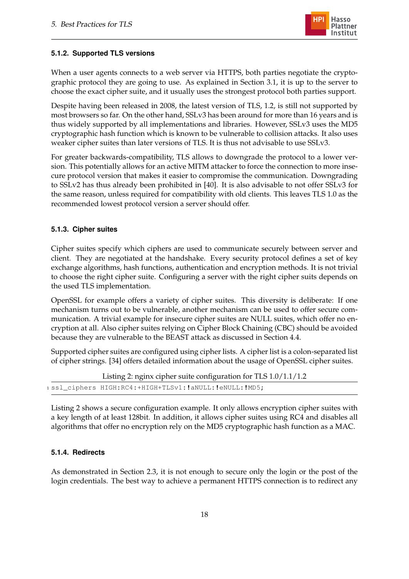

#### <span id="page-19-0"></span>**5.1.2. Supported TLS versions**

When a user agents connects to a web server via HTTPS, both parties negotiate the cryptographic protocol they are going to use. As explained in Section [3.1,](#page-4-1) it is up to the server to choose the exact cipher suite, and it usually uses the strongest protocol both parties support.

Despite having been released in 2008, the latest version of TLS, 1.2, is still not supported by most browsers so far. On the other hand, SSLv3 has been around for more than 16 years and is thus widely supported by all implementations and libraries. However, SSLv3 uses the MD5 cryptographic hash function which is known to be vulnerable to collision attacks. It also uses weaker cipher suites than later versions of TLS. It is thus not advisable to use SSLv3.

For greater backwards-compatibility, TLS allows to downgrade the protocol to a lower version. This potentially allows for an active MITM attacker to force the connection to more insecure protocol version that makes it easier to compromise the communication. Downgrading to SSLv2 has thus already been prohibited in [\[40\]](#page-27-9). It is also advisable to not offer SSLv3 for the same reason, unless required for compatibility with old clients. This leaves TLS 1.0 as the recommended lowest protocol version a server should offer.

#### <span id="page-19-1"></span>**5.1.3. Cipher suites**

Cipher suites specify which ciphers are used to communicate securely between server and client. They are negotiated at the handshake. Every security protocol defines a set of key exchange algorithms, hash functions, authentication and encryption methods. It is not trivial to choose the right cipher suite. Configuring a server with the right cipher suits depends on the used TLS implementation.

OpenSSL for example offers a variety of cipher suites. This diversity is deliberate: If one mechanism turns out to be vulnerable, another mechanism can be used to offer secure communication. A trivial example for insecure cipher suites are NULL suites, which offer no encryption at all. Also cipher suites relying on Cipher Block Chaining (CBC) should be avoided because they are vulnerable to the BEAST attack as discussed in Section [4.4.](#page-16-0)

Supported cipher suites are configured using cipher lists. A cipher list is a colon-separated list of cipher strings. [\[34\]](#page-26-11) offers detailed information about the usage of OpenSSL cipher suites.

```
Listing 2: nginx cipher suite configuration for TLS 1.0/1.1/1.2
1 ssl_ciphers HIGH:RC4:+HIGH+TLSv1:!aNULL:!eNULL:!MD5;
```
Listing [2](#page-19-3) shows a secure configuration example. It only allows encryption cipher suites with a key length of at least 128bit. In addition, it allows cipher suites using RC4 and disables all algorithms that offer no encryption rely on the MD5 cryptographic hash function as a MAC.

#### <span id="page-19-2"></span>**5.1.4. Redirects**

As demonstrated in Section [2.3,](#page-3-1) it is not enough to secure only the login or the post of the login credentials. The best way to achieve a permanent HTTPS connection is to redirect any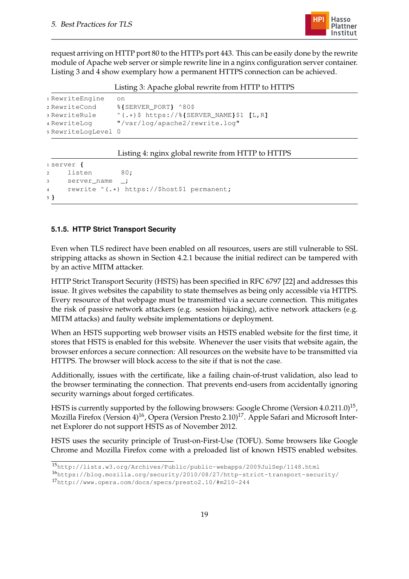

request arriving on HTTP port 80 to the HTTPs port 443. This can be easily done by the rewrite module of Apache web server or simple rewrite line in a nginx configuration server container. Listing [3](#page-20-1) and [4](#page-20-2) show exemplary how a permanent HTTPS connection can be achieved.

Listing 3: Apache global rewrite from HTTP to HTTPS

<span id="page-20-1"></span>

| 1 RewriteEngine     | on.                                                 |  |
|---------------------|-----------------------------------------------------|--|
| 2 RewriteCond       | %{SERVER PORT} ^80\$                                |  |
| 3 RewriteRule       | $^{\wedge}$ (.*) \$ https://%{SERVER NAME}\$1 [L,R] |  |
| 4 RewriteLog        | "/var/log/apache2/rewrite.log"                      |  |
| 5 RewriteLogLevel 0 |                                                     |  |

#### Listing 4: nginx global rewrite from HTTP to HTTPS

```
1 server {
2 listen 80;
3 server_name _;
4 rewrite ^(.*) https://$host$1 permanent;
5 }
```
#### <span id="page-20-0"></span>**5.1.5. HTTP Strict Transport Security**

Even when TLS redirect have been enabled on all resources, users are still vulnerable to SSL stripping attacks as shown in Section [4.2.1](#page-12-0) because the initial redirect can be tampered with by an active MITM attacker.

HTTP Strict Transport Security (HSTS) has been specified in RFC 6797 [\[22\]](#page-25-9) and addresses this issue. It gives websites the capability to state themselves as being only accessible via HTTPS. Every resource of that webpage must be transmitted via a secure connection. This mitigates the risk of passive network attackers (e.g. session hijacking), active network attackers (e.g. MITM attacks) and faulty website implementations or deployment.

When an HSTS supporting web browser visits an HSTS enabled website for the first time, it stores that HSTS is enabled for this website. Whenever the user visits that website again, the browser enforces a secure connection: All resources on the website have to be transmitted via HTTPS. The browser will block access to the site if that is not the case.

Additionally, issues with the certificate, like a failing chain-of-trust validation, also lead to the browser terminating the connection. That prevents end-users from accidentally ignoring security warnings about forged certificates.

HSTS is currently supported by the following browsers: Google Chrome (Version  $4.0.211.0)^{15}$ , Mozilla Firefox (Version 4)<sup>16</sup>, Opera (Version Presto 2.10)<sup>17</sup>. Apple Safari and Microsoft Internet Explorer do not support HSTS as of November 2012.

HSTS uses the security principle of Trust-on-First-Use (TOFU). Some browsers like Google Chrome and Mozilla Firefox come with a preloaded list of known HSTS enabled websites.

<sup>15</sup><http://lists.w3.org/Archives/Public/public-webapps/2009JulSep/1148.html>

<sup>16</sup><https://blog.mozilla.org/security/2010/08/27/http-strict-transport-security/>

<sup>17</sup><http://www.opera.com/docs/specs/presto2.10/#m210-244>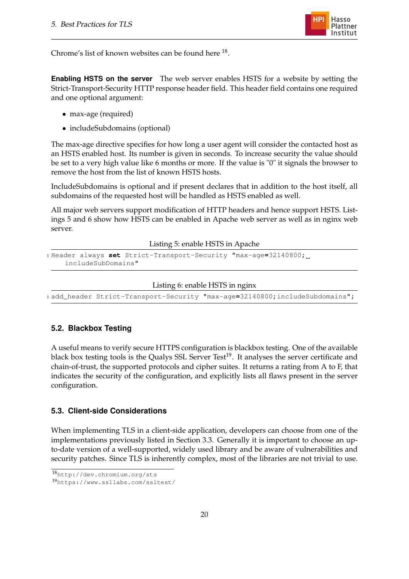

Chrome's list of known websites can be found here  $^{18}$ .

**Enabling HSTS on the server** The web server enables HSTS for a website by setting the Strict-Transport-Security HTTP response header field. This header field contains one required and one optional argument:

- max-age (required)
- includeSubdomains (optional)

The max-age directive specifies for how long a user agent will consider the contacted host as an HSTS enabled host. Its number is given in seconds. To increase security the value should be set to a very high value like 6 months or more. If the value is "0" it signals the browser to remove the host from the list of known HSTS hosts.

IncludeSubdomains is optional and if present declares that in addition to the host itself, all subdomains of the requested host will be handled as HSTS enabled as well.

All major web servers support modification of HTTP headers and hence support HSTS. Listings [5](#page-21-2) and [6](#page-21-3) show how HSTS can be enabled in Apache web server as well as in nginx web server.

Listing 5: enable HSTS in Apache

```
1 Header always set Strict-Transport-Security "max-age=32140800;
    includeSubDomains"
```
#### Listing 6: enable HSTS in nginx

<span id="page-21-3"></span><sup>1</sup> add**\_**header Strict-Transport-Security "max-age**=**32140800**;**includeSubdomains"**;**

### <span id="page-21-0"></span>**5.2. Blackbox Testing**

A useful means to verify secure HTTPS configuration is blackbox testing. One of the available black box testing tools is the Qualys SSL Server Test<sup>19</sup>. It analyses the server certificate and chain-of-trust, the supported protocols and cipher suites. It returns a rating from A to F, that indicates the security of the configuration, and explicitly lists all flaws present in the server configuration.

#### <span id="page-21-1"></span>**5.3. Client-side Considerations**

When implementing TLS in a client-side application, developers can choose from one of the implementations previously listed in Section [3.3.](#page-9-0) Generally it is important to choose an upto-date version of a well-supported, widely used library and be aware of vulnerabilities and security patches. Since TLS is inherently complex, most of the libraries are not trivial to use.

<sup>18</sup><http://dev.chromium.org/sts>

<sup>19</sup><https://www.ssllabs.com/ssltest/>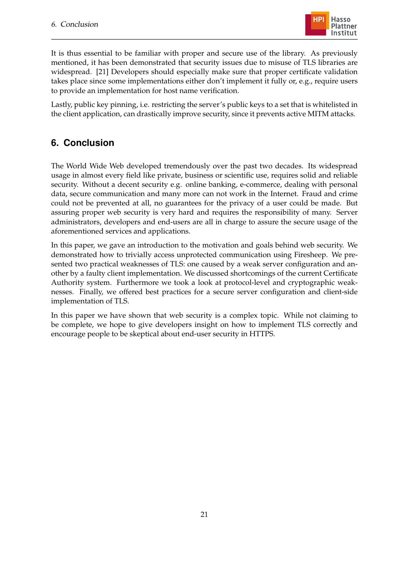

It is thus essential to be familiar with proper and secure use of the library. As previously mentioned, it has been demonstrated that security issues due to misuse of TLS libraries are widespread. [\[21\]](#page-25-4) Developers should especially make sure that proper certificate validation takes place since some implementations either don't implement it fully or, e.g., require users to provide an implementation for host name verification.

Lastly, public key pinning, i.e. restricting the server's public keys to a set that is whitelisted in the client application, can drastically improve security, since it prevents active MITM attacks.

# <span id="page-22-0"></span>**6. Conclusion**

The World Wide Web developed tremendously over the past two decades. Its widespread usage in almost every field like private, business or scientific use, requires solid and reliable security. Without a decent security e.g. online banking, e-commerce, dealing with personal data, secure communication and many more can not work in the Internet. Fraud and crime could not be prevented at all, no guarantees for the privacy of a user could be made. But assuring proper web security is very hard and requires the responsibility of many. Server administrators, developers and end-users are all in charge to assure the secure usage of the aforementioned services and applications.

In this paper, we gave an introduction to the motivation and goals behind web security. We demonstrated how to trivially access unprotected communication using Firesheep. We presented two practical weaknesses of TLS: one caused by a weak server configuration and another by a faulty client implementation. We discussed shortcomings of the current Certificate Authority system. Furthermore we took a look at protocol-level and cryptographic weaknesses. Finally, we offered best practices for a secure server configuration and client-side implementation of TLS.

In this paper we have shown that web security is a complex topic. While not claiming to be complete, we hope to give developers insight on how to implement TLS correctly and encourage people to be skeptical about end-user security in HTTPS.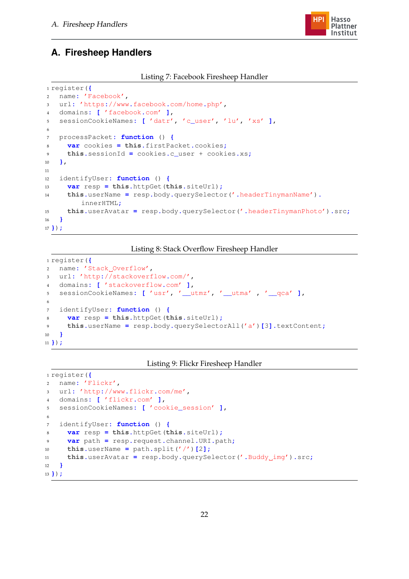

# <span id="page-23-0"></span>**A. Firesheep Handlers**

#### Listing 7: Facebook Firesheep Handler

```
1 register({
2 name: 'Facebook',
3 url: 'https://www.facebook.com/home.php',
4 domains: [ 'facebook.com' ],
5 sessionCookieNames: [ 'datr', 'c_user', 'lu', 'xs' ],
6
7 processPacket: function () {
8 var cookies = this.firstPacket.cookies;
9 this.sessionId = cookies.c_user + cookies.xs;
10 },
11
12 identifyUser: function () {
13 var resp = this.httpGet(this.siteUrl);
14 this.userName = resp.body.querySelector('.headerTinymanName').
        innerHTML;
15 this.userAvatar = resp.body.querySelector('.headerTinymanPhoto').src;
16 }
17 });
```
#### Listing 8: Stack Overflow Firesheep Handler

```
1 register({
2 name: 'Stack_Overflow',
3 url: 'http://stackoverflow.com/',
4 domains: [ 'stackoverflow.com' ],
5 sessionCookieNames: [ 'usr', '__utmz', '__utma' , '__qca' ],
6
7 identifyUser: function () {
8 var resp = this.httpGet(this.siteUrl);
9 this.userName = resp.body.querySelectorAll('a')[3].textContent;
10 }
11 });
```
#### Listing 9: Flickr Firesheep Handler

```
1 register({
2 name: 'Flickr',
3 url: 'http://www.flickr.com/me',
4 domains: [ 'flickr.com' ],
5 sessionCookieNames: [ 'cookie_session' ],
6
7 identifyUser: function () {
8 var resp = this.httpGet(this.siteUrl);
9 var path = resp.request.channel.URI.path;
10 this.userName = path.split('/')[2];
11 this.userAvatar = resp.body.querySelector('.Buddy img').src;
12 }
13 });
```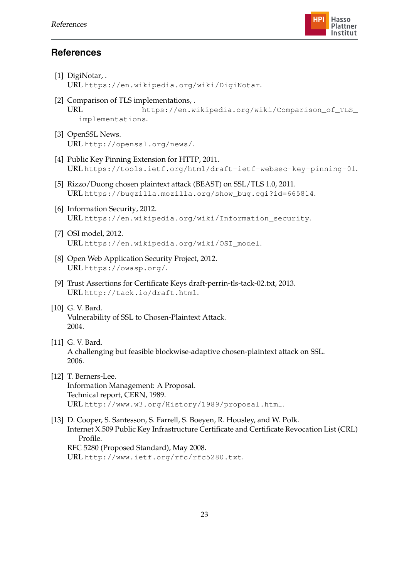

# **References**

<span id="page-24-12"></span><span id="page-24-11"></span><span id="page-24-10"></span><span id="page-24-9"></span><span id="page-24-8"></span><span id="page-24-7"></span><span id="page-24-6"></span><span id="page-24-5"></span><span id="page-24-4"></span><span id="page-24-3"></span><span id="page-24-2"></span><span id="page-24-1"></span><span id="page-24-0"></span>[1] DigiNotar,. URL <https://en.wikipedia.org/wiki/DigiNotar>. [2] Comparison of TLS implementations, . URL [https://en.wikipedia.org/wiki/Comparison\\_of\\_TLS\\_](https://en.wikipedia.org/wiki/Comparison_of_TLS_implementations) [implementations](https://en.wikipedia.org/wiki/Comparison_of_TLS_implementations). [3] OpenSSL News. URL <http://openssl.org/news/>. [4] Public Key Pinning Extension for HTTP, 2011. URL <https://tools.ietf.org/html/draft-ietf-websec-key-pinning-01>. [5] Rizzo/Duong chosen plaintext attack (BEAST) on SSL/TLS 1.0, 2011. URL [https://bugzilla.mozilla.org/show\\_bug.cgi?id=665814](https://bugzilla.mozilla.org/show_bug.cgi?id=665814). [6] Information Security, 2012. URL [https://en.wikipedia.org/wiki/Information\\_security](https://en.wikipedia.org/wiki/Information_security). [7] OSI model, 2012. URL [https://en.wikipedia.org/wiki/OSI\\_model](https://en.wikipedia.org/wiki/OSI_model). [8] Open Web Application Security Project, 2012. URL <https://owasp.org/>. [9] Trust Assertions for Certificate Keys draft-perrin-tls-tack-02.txt, 2013. URL <http://tack.io/draft.html>. [10] G. V. Bard. Vulnerability of SSL to Chosen-Plaintext Attack. 2004. [11] G. V. Bard. A challenging but feasible blockwise-adaptive chosen-plaintext attack on SSL. 2006. [12] T. Berners-Lee. Information Management: A Proposal. Technical report, CERN, 1989. URL <http://www.w3.org/History/1989/proposal.html>. [13] D. Cooper, S. Santesson, S. Farrell, S. Boeyen, R. Housley, and W. Polk. Internet X.509 Public Key Infrastructure Certificate and Certificate Revocation List (CRL) Profile. RFC 5280 (Proposed Standard), May 2008. URL <http://www.ietf.org/rfc/rfc5280.txt>.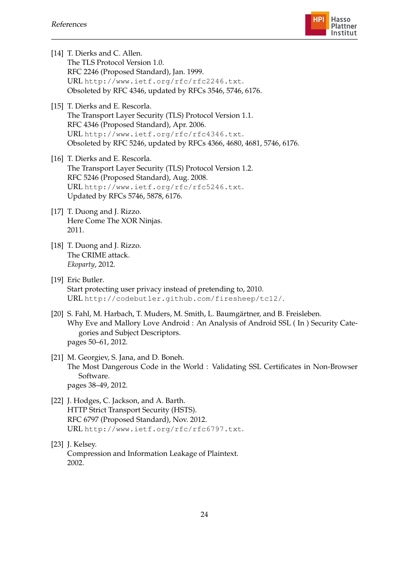

<span id="page-25-7"></span><span id="page-25-6"></span><span id="page-25-3"></span><span id="page-25-2"></span><span id="page-25-1"></span>

| [14] T. Dierks and C. Allen.<br>The TLS Protocol Version 1.0.<br>RFC 2246 (Proposed Standard), Jan. 1999.<br>URL http://www.ietf.org/rfc/rfc2246.txt.<br>Obsoleted by RFC 4346, updated by RFCs 3546, 5746, 6176.                                           |
|-------------------------------------------------------------------------------------------------------------------------------------------------------------------------------------------------------------------------------------------------------------|
| [15] T. Dierks and E. Rescorla.<br>The Transport Layer Security (TLS) Protocol Version 1.1.<br>RFC 4346 (Proposed Standard), Apr. 2006.<br>URL http://www.ietf.org/rfc/rfc4346.txt.<br>Obsoleted by RFC 5246, updated by RFCs 4366, 4680, 4681, 5746, 6176. |
| [16] T. Dierks and E. Rescorla.<br>The Transport Layer Security (TLS) Protocol Version 1.2.<br>RFC 5246 (Proposed Standard), Aug. 2008.<br>URL http://www.ietf.org/rfc/rfc5246.txt.<br>Updated by RFCs 5746, 5878, 6176.                                    |
| [17] T. Duong and J. Rizzo.<br>Here Come The XOR Ninjas.<br>2011.                                                                                                                                                                                           |
| [18] T. Duong and J. Rizzo.<br>The CRIME attack.<br>Ekoparty, 2012.                                                                                                                                                                                         |
| [19] Eric Butler.<br>Start protecting user privacy instead of pretending to, 2010.<br>URL http://codebutler.github.com/firesheep/tc12/.                                                                                                                     |
| [20] S. Fahl, M. Harbach, T. Muders, M. Smith, L. Baumgärtner, and B. Freisleben.<br>Why Eve and Mallory Love Android: An Analysis of Android SSL (In) Security Cate-<br>gories and Subject Descriptors.<br>pages 50-61, 2012.                              |
| [21] M. Georgiev, S. Jana, and D. Boneh.<br>The Most Dangerous Code in the World : Validating SSL Certificates in Non-Browser<br>Software.<br>pages 38-49, 2012.                                                                                            |
| [22] J. Hodges, C. Jackson, and A. Barth.<br>HTTP Strict Transport Security (HSTS).<br>RFC 6797 (Proposed Standard), Nov. 2012.<br>URL http://www.ietf.org/rfc/rfc6797.txt.                                                                                 |

<span id="page-25-9"></span><span id="page-25-8"></span><span id="page-25-5"></span><span id="page-25-4"></span><span id="page-25-0"></span>[23] J. Kelsey. Compression and Information Leakage of Plaintext. 2002.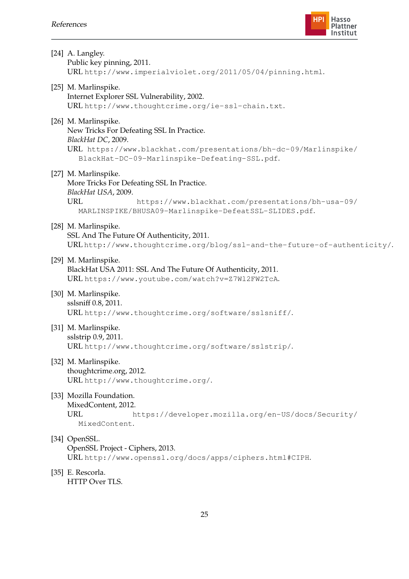

<span id="page-26-11"></span><span id="page-26-10"></span><span id="page-26-9"></span><span id="page-26-8"></span><span id="page-26-7"></span><span id="page-26-6"></span><span id="page-26-5"></span><span id="page-26-4"></span><span id="page-26-3"></span><span id="page-26-2"></span><span id="page-26-1"></span><span id="page-26-0"></span>

| [24] A. Langley.<br>Public key pinning, 2011.<br>URL http://www.imperialviolet.org/2011/05/04/pinning.html.                                                                                                           |
|-----------------------------------------------------------------------------------------------------------------------------------------------------------------------------------------------------------------------|
| [25] M. Marlinspike.<br>Internet Explorer SSL Vulnerability, 2002.<br>URL http://www.thoughtcrime.org/ie-ssl-chain.txt.                                                                                               |
| [26] M. Marlinspike.<br>New Tricks For Defeating SSL In Practice.<br>BlackHat DC, 2009.<br>URL https://www.blackhat.com/presentations/bh-dc-09/Marlinspike/<br>BlackHat-DC-09-Marlinspike-Defeating-SSL.pdf.          |
| [27] M. Marlinspike.<br>More Tricks For Defeating SSL In Practice.<br>BlackHat USA, 2009.<br><b>URL</b><br>https://www.blackhat.com/presentations/bh-usa-09/<br>MARLINSPIKE/BHUSA09-Marlinspike-DefeatSSL-SLIDES.pdf. |
| [28] M. Marlinspike.<br>SSL And The Future Of Authenticity, 2011.<br>URLhttp://www.thoughtcrime.org/blog/ssl-and-the-future-of-authenticity/.                                                                         |
| [29] M. Marlinspike.<br>BlackHat USA 2011: SSL And The Future Of Authenticity, 2011.<br>URL https://www.youtube.com/watch?v=Z7W12FW2TcA.                                                                              |
| [30] M. Marlinspike.<br>sslsniff 0.8, 2011.<br>URL http://www.thoughtcrime.org/software/sslsniff/.                                                                                                                    |
| [31] M. Marlinspike.<br>sslstrip 0.9, 2011.<br>URL http://www.thoughtcrime.org/software/sslstrip/.                                                                                                                    |
| [32] M. Marlinspike.<br>thoughtcrime.org, 2012.<br>URL http://www.thoughtcrime.org/.                                                                                                                                  |
| [33] Mozilla Foundation.<br>MixedContent, 2012.<br>URL<br>https://developer.mozilla.org/en-US/docs/Security/<br>MixedContent.                                                                                         |
| [34] OpenSSL.<br>OpenSSL Project - Ciphers, 2013.<br>URL http://www.openssl.org/docs/apps/ciphers.html#CIPH.                                                                                                          |
| [35] E. Rescorla.<br>HTTP Over TLS.                                                                                                                                                                                   |